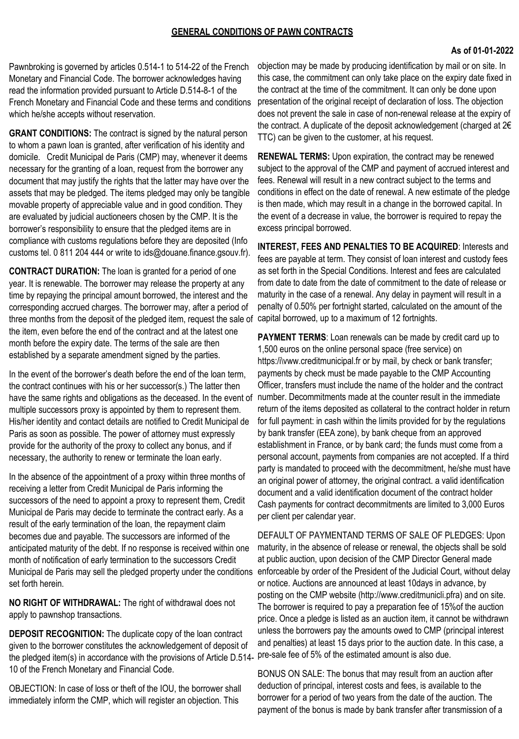## **As of 01-01-2022**

Pawnbroking is governed by articles 0.514-1 to 514-22 of the French Monetary and Financial Code. The borrower acknowledges having read the information provided pursuant to Article D.514-8-1 of the French Monetary and Financial Code and these terms and conditions which he/she accepts without reservation.

**GRANT CONDITIONS:** The contract is signed by the natural person to whom a pawn loan is granted, after verification of his identity and domicile. Credit Municipal de Paris (CMP) may, whenever it deems necessary for the granting of a loan, request from the borrower any document that may justify the rights that the latter may have over the assets that may be pledged. The items pledged may only be tangible movable property of appreciable value and in good condition. They are evaluated by judicial auctioneers chosen by the CMP. It is the borrower's responsibility to ensure that the pledged items are in compliance with customs regulations before they are deposited (Info customs tel. 0 811 204 444 or write to ids@douane.finance.gsouv.fr).

**CONTRACT DURATION:** The loan is granted for a period of one year. It is renewable. The borrower may release the property at any time by repaying the principal amount borrowed, the interest and the corresponding accrued charges. The borrower may, after a period of three months from the deposit of the pledged item, request the sale of capital borrowed, up to a maximum of 12 fortnights. the item, even before the end of the contract and at the latest one month before the expiry date. The terms of the sale are then established by a separate amendment signed by the parties.

In the event of the borrower's death before the end of the loan term, the contract continues with his or her successor(s.) The latter then multiple successors proxy is appointed by them to represent them. His/her identity and contact details are notified to Credit Municipal de Paris as soon as possible. The power of attorney must expressly provide for the authority of the proxy to collect any bonus, and if necessary, the authority to renew or terminate the loan early.

In the absence of the appointment of a proxy within three months of receiving a letter from Credit Municipal de Paris informing the successors of the need to appoint a proxy to represent them, Credit Municipal de Paris may decide to terminate the contract early. As a result of the early termination of the loan, the repayment claim becomes due and payable. The successors are informed of the anticipated maturity of the debt. If no response is received within one month of notification of early termination to the successors Credit Municipal de Paris may sell the pledged property under the conditions set forth herein.

**NO RIGHT OF WITHDRAWAL:** The right of withdrawal does not apply to pawnshop transactions.

**DEPOSIT RECOGNITION:** The duplicate copy of the loan contract given to the borrower constitutes the acknowledgement of deposit of the pledged item(s) in accordance with the provisions of Article D.514- pre-sale fee of 5% of the estimated amount is also due. 10 of the French Monetary and Financial Code.

OBJECTION: In case of loss or theft of the IOU, the borrower shall immediately inform the CMP, which will register an objection. This

objection may be made by producing identification by mail or on site. In this case, the commitment can only take place on the expiry date fixed in the contract at the time of the commitment. It can only be done upon presentation of the original receipt of declaration of loss. The objection does not prevent the sale in case of non-renewal release at the expiry of the contract. A duplicate of the deposit acknowledgement (charged at 2€ TTC) can be given to the customer, at his request.

**RENEWAL TERMS:** Upon expiration, the contract may be renewed subject to the approval of the CMP and payment of accrued interest and fees. Renewal will result in a new contract subject to the terms and conditions in effect on the date of renewal. A new estimate of the pledge is then made, which may result in a change in the borrowed capital. In the event of a decrease in value, the borrower is required to repay the excess principal borrowed.

**INTEREST, FEES AND PENALTIES TO BE ACQUIRED**: Interests and fees are payable at term. They consist of loan interest and custody fees as set forth in the Special Conditions. Interest and fees are calculated from date to date from the date of commitment to the date of release or maturity in the case of a renewal. Any delay in payment will result in a penalty of 0.50% per fortnight started, calculated on the amount of the

have the same rights and obligations as the deceased. In the event of number. Decommitments made at the counter result in the immediate **PAYMENT TERMS**: Loan renewals can be made by credit card up to 1,500 euros on the online personal space (free service) on https:/i\vww.creditmunicipal.fr or by mail, by check or bank transfer; payments by check must be made payable to the CMP Accounting Officer, transfers must include the name of the holder and the contract return of the items deposited as collateral to the contract holder in return for full payment: in cash within the limits provided for by the regulations by bank transfer (EEA zone), by bank cheque from an approved establishment in France, or by bank card; the funds must come from a personal account, payments from companies are not accepted. If a third party is mandated to proceed with the decommitment, he/she must have an original power of attorney, the original contract. a valid identification document and a valid identification document of the contract holder Cash payments for contract decommitments are limited to 3,000 Euros per client per calendar year.

> DEFAULT OF PAYMENTAND TERMS OF SALE OF PLEDGES: Upon maturity, in the absence of release or renewal, the objects shall be sold at public auction, upon decision of the CMP Director General made enforceable by order of the President of the Judicial Court, without delay or notice. Auctions are announced at least 10days in advance, by posting on the CMP website (http://www.creditmunicli.pfra) and on site. The borrower is required to pay a preparation fee of 15%of the auction price. Once a pledge is listed as an auction item, it cannot be withdrawn unless the borrowers pay the amounts owed to CMP (principal interest and penalties) at least 15 days prior to the auction date. In this case, a

BONUS ON SALE: The bonus that may result from an auction after deduction of principal, interest costs and fees, is available to the borrower for a period of two years from the date of the auction. The payment of the bonus is made by bank transfer after transmission of a